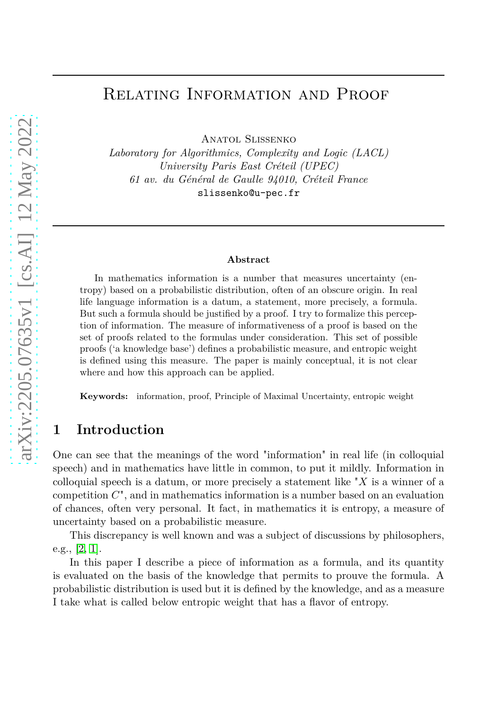# Relating Information and Proof

Anatol Slissenko

*Laboratory for Algorithmics, Complexity and Logic (LACL) University Paris East Créteil (UPEC) 61 av. du Général de Gaulle 94010, Créteil France* slissenko@u-pec.fr

#### **Abstract**

In mathematics information is a number that measures uncertainty (entropy) based on a probabilistic distribution, often of an obscure origin. In real life language information is a datum, a statement, more precisely, a formula. But such a formula should be justified by a proof. I try to formalize this perception of information. The measure of informativeness of a proof is based on the set of proofs related to the formulas under consideration. This set of possible proofs ('a knowledge base') defines a probabilistic measure, and entropic weight is defined using this measure. The paper is mainly conceptual, it is not clear where and how this approach can be applied.

**Keywords:** information, proof, Principle of Maximal Uncertainty, entropic weight

## **1 Introduction**

One can see that the meanings of the word "information" in real life (in colloquial speech) and in mathematics have little in common, to put it mildly. Information in colloquial speech is a datum, or more precisely a statement like "*X* is a winner of a competition *C*", and in mathematics information is a number based on an evaluation of chances, often very personal. It fact, in mathematics it is entropy, a measure of uncertainty based on a probabilistic measure.

This discrepancy is well known and was a subject of discussions by philosophers, e.g., [\[2,](#page-8-0) [1\]](#page-8-1).

In this paper I describe a piece of information as a formula, and its quantity is evaluated on the basis of the knowledge that permits to prouve the formula. A probabilistic distribution is used but it is defined by the knowledge, and as a measure I take what is called below entropic weight that has a flavor of entropy.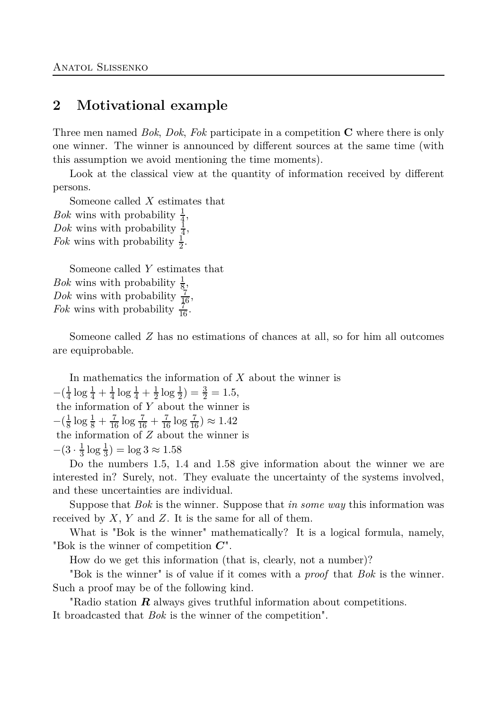## **2 Motivational example**

Three men named *Bok*, *Dok*, *Fok* participate in a competition **C** where there is only one winner. The winner is announced by different sources at the same time (with this assumption we avoid mentioning the time moments).

Look at the classical view at the quantity of information received by different persons.

Someone called *X* estimates that *Bok* wins with probability  $\frac{1}{4}$ , *Dok* wins with probability  $\frac{1}{4}$ , *Fok* wins with probability  $\frac{1}{2}$ .

Someone called *Y* estimates that *Bok* wins with probability  $\frac{1}{8}$ , *Dok* wins with probability  $\frac{7}{16}$ , *Fok* wins with probability  $\frac{7}{16}$ .

Someone called *Z* has no estimations of chances at all, so for him all outcomes are equiprobable.

In mathematics the information of *X* about the winner is  $-\left(\frac{1}{4}\right)$  $rac{1}{4} \log \frac{1}{4} + \frac{1}{4}$  $\frac{1}{4} \log \frac{1}{4} + \frac{1}{2}$  $\frac{1}{2}\log\frac{1}{2}$ ) =  $\frac{3}{2}$  = 1.5, the information of *Y* about the winner is  $-\left(\frac{1}{8}\right)$  $\frac{1}{8}$  log  $\frac{1}{8} + \frac{7}{16}$  log  $\frac{7}{16} + \frac{7}{16}$  log  $\frac{7}{16}$ )  $\approx 1.42$ the information of *Z* about the winner is  $-(3 \cdot \frac{1}{3})$  $\frac{1}{3}$  log  $\frac{1}{3}$ ) = log  $3 \approx 1.58$ 

Do the numbers 1*.*5, 1*.*4 and 1*.*58 give information about the winner we are interested in? Surely, not. They evaluate the uncertainty of the systems involved, and these uncertainties are individual.

Suppose that *Bok* is the winner. Suppose that *in some way* this information was received by *X*, *Y* and *Z*. It is the same for all of them.

What is "Bok is the winner" mathematically? It is a logical formula, namely, "Bok is the winner of competition *C*".

How do we get this information (that is, clearly, not a number)?

"Bok is the winner" is of value if it comes with a *proof* that *Bok* is the winner. Such a proof may be of the following kind.

"Radio station *R* always gives truthful information about competitions. It broadcasted that *Bok* is the winner of the competition".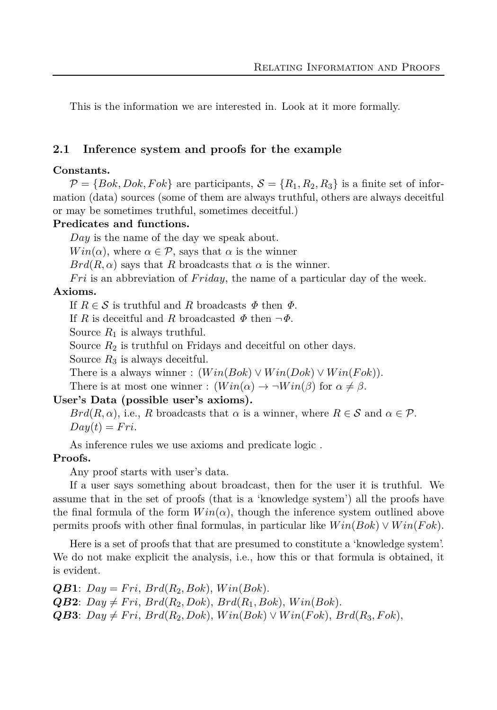This is the information we are interested in. Look at it more formally.

### **2.1 Inference system and proofs for the example**

### **Constants.**

 $\mathcal{P} = \{Bok, Dok, Fok\}$  are participants,  $\mathcal{S} = \{R_1, R_2, R_3\}$  is a finite set of information (data) sources (some of them are always truthful, others are always deceitful or may be sometimes truthful, sometimes deceitful.)

### **Predicates and functions.**

*Day* is the name of the day we speak about.

*Win*( $\alpha$ ), where  $\alpha \in \mathcal{P}$ , says that  $\alpha$  is the winner

 $Brd(R,\alpha)$  says that *R* broadcasts that  $\alpha$  is the winner.

*F ri* is an abbreviation of *F riday*, the name of a particular day of the week. **Axioms.**

If  $R \in \mathcal{S}$  is truthful and R broadcasts  $\Phi$  then  $\Phi$ .

If *R* is deceitful and *R* broadcasted  $\Phi$  then  $\neg \Phi$ .

Source  $R_1$  is always truthful.

Source  $R_2$  is truthful on Fridays and deceitful on other days.

Source  $R_3$  is always deceitful.

There is a always winner :  $(Win(Bok) \vee Win(Dok) \vee Win(Fok)).$ 

There is at most one winner :  $(Win(\alpha) \to \neg Win(\beta)$  for  $\alpha \neq \beta$ .

### **User's Data (possible user's axioms).**

*Brd*( $R, \alpha$ ), i.e.,  $R$  broadcasts that  $\alpha$  is a winner, where  $R \in S$  and  $\alpha \in \mathcal{P}$ .  $Day(t) = Fri.$ 

As inference rules we use axioms and predicate logic .

### **Proofs.**

Any proof starts with user's data.

If a user says something about broadcast, then for the user it is truthful. We assume that in the set of proofs (that is a 'knowledge system') all the proofs have the final formula of the form  $Win(\alpha)$ , though the inference system outlined above permits proofs with other final formulas, in particular like *W in*(*Bok*) ∨ *W in*(*F ok*).

Here is a set of proofs that that are presumed to constitute a 'knowledge system'. We do not make explicit the analysis, i.e., how this or that formula is obtained, it is evident.

 $QB$ **1**:  $Day = Fri$ ,  $Brd(R_2, Bok)$ ,  $Win(Bok)$ .  $QB2: Day \neq Fri, Brd(R_2, Dok), Brd(R_1, Bok), Win(Bok).$  $QB3: Day \neq Fri, Brd(R_2, Dok), Win(Bok) \vee Win(Fok), Brd(R_3, Fok),$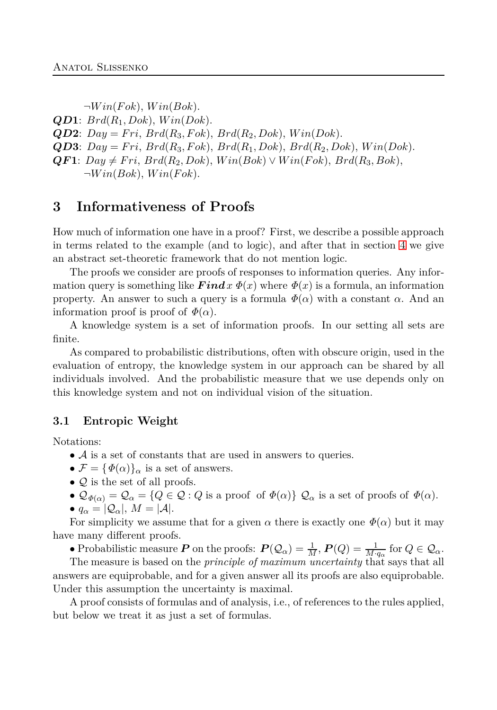$\neg Win(Fok), Win(Bok).$ *QD***1**: *Brd*(*R*1*, Dok*), *W in*(*Dok*). *QD***2**: *Day* = *F ri*, *Brd*(*R*3*, F ok*), *Brd*(*R*2*, Dok*), *W in*(*Dok*).  $QD3$ :  $Day = Fri$ ,  $Brd(R_3, Fok)$ ,  $Brd(R_1, Dok)$ ,  $Brd(R_2, Dok)$ ,  $Win(Dok)$ .  $QF1: Day \neq Fri, Brd(R_2, Dok), Win(Bok) \vee Win(Fok), Brd(R_3, Bok),$  $\neg Win(Bok), Win(Fok).$ 

## **3 Informativeness of Proofs**

How much of information one have in a proof? First, we describe a possible approach in terms related to the example (and to logic), and after that in section [4](#page-6-0) we give an abstract set-theoretic framework that do not mention logic.

The proofs we consider are proofs of responses to information queries. Any information query is something like  $\boldsymbol{Findx} \ \Phi(x)$  where  $\Phi(x)$  is a formula, an information property. An answer to such a query is a formula  $\Phi(\alpha)$  with a constant  $\alpha$ . And an information proof is proof of  $\Phi(\alpha)$ .

A knowledge system is a set of information proofs. In our setting all sets are finite.

As compared to probabilistic distributions, often with obscure origin, used in the evaluation of entropy, the knowledge system in our approach can be shared by all individuals involved. And the probabilistic measure that we use depends only on this knowledge system and not on individual vision of the situation.

### **3.1 Entropic Weight**

Notations:

- $\bullet$  A is a set of constants that are used in answers to queries.
- $\mathcal{F} = {\Phi(\alpha)}_{\alpha}$  is a set of answers.
- $Q$  is the set of all proofs.
- $\mathcal{Q}_{\Phi(\alpha)} = \mathcal{Q}_{\alpha} = \{Q \in \mathcal{Q} : Q \text{ is a proof of } \Phi(\alpha)\}\ Q_{\alpha} \text{ is a set of proofs of } \Phi(\alpha).$
- $q_{\alpha} = |Q_{\alpha}|, M = |A|.$

For simplicity we assume that for a given  $\alpha$  there is exactly one  $\Phi(\alpha)$  but it may have many different proofs.

• Probabilistic measure *P* on the proofs:  $P(Q_\alpha) = \frac{1}{M}$ ,  $P(Q) = \frac{1}{M \cdot q_\alpha}$  for  $Q \in \mathcal{Q}_\alpha$ .

The measure is based on the *principle of maximum uncertainty* that says that all answers are equiprobable, and for a given answer all its proofs are also equiprobable. Under this assumption the uncertainty is maximal.

A proof consists of formulas and of analysis, i.e., of references to the rules applied, but below we treat it as just a set of formulas.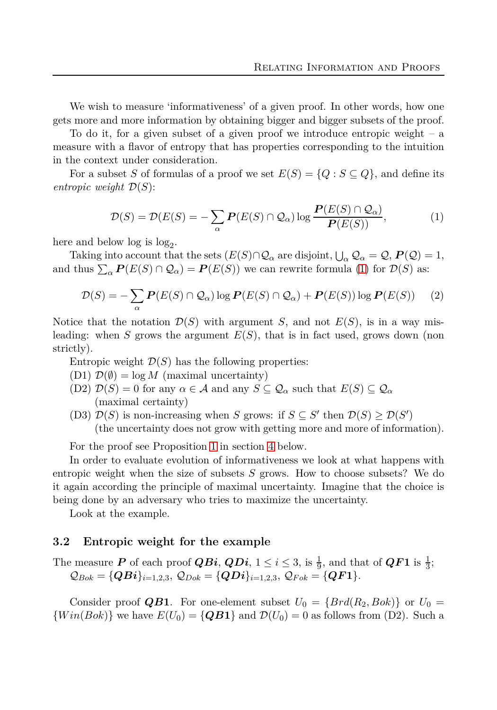We wish to measure 'informativeness' of a given proof. In other words, how one gets more and more information by obtaining bigger and bigger subsets of the proof.

To do it, for a given subset of a given proof we introduce entropic weight – a measure with a flavor of entropy that has properties corresponding to the intuition in the context under consideration.

<span id="page-4-0"></span>For a subset *S* of formulas of a proof we set  $E(S) = \{Q : S \subseteq Q\}$ , and define its *entropic weight* D(*S*):

$$
\mathcal{D}(S) = \mathcal{D}(E(S)) = -\sum_{\alpha} \mathbf{P}(E(S) \cap \mathcal{Q}_{\alpha}) \log \frac{\mathbf{P}(E(S) \cap \mathcal{Q}_{\alpha})}{\mathbf{P}(E(S))},\tag{1}
$$

here and below  $log_2$ .

<span id="page-4-1"></span>Taking into account that the sets  $(E(S) \cap Q_\alpha$  are disjoint,  $\bigcup_\alpha Q_\alpha = Q$ ,  $P(Q) = 1$ , and thus  $\sum_{\alpha} P(E(S) \cap Q_{\alpha}) = P(E(S))$  we can rewrite formula [\(1\)](#page-4-0) for  $\mathcal{D}(S)$  as:

$$
\mathcal{D}(S) = -\sum_{\alpha} \mathbf{P}(E(S) \cap \mathcal{Q}_{\alpha}) \log \mathbf{P}(E(S) \cap \mathcal{Q}_{\alpha}) + \mathbf{P}(E(S)) \log \mathbf{P}(E(S)) \tag{2}
$$

Notice that the notation  $\mathcal{D}(S)$  with argument *S*, and not  $E(S)$ , is in a way misleading: when *S* grows the argument *E*(*S*), that is in fact used, grows down (non strictly).

Entropic weight  $\mathcal{D}(S)$  has the following properties:

- (D1)  $\mathcal{D}(\emptyset) = \log M$  (maximal uncertainty)
- $(D2)$   $\mathcal{D}(S) = 0$  for any  $\alpha \in \mathcal{A}$  and any  $S \subseteq \mathcal{Q}_\alpha$  such that  $E(S) \subseteq \mathcal{Q}_\alpha$ (maximal certainty)
- (D3)  $\mathcal{D}(S)$  is non-increasing when *S* grows: if  $S \subseteq S'$  then  $\mathcal{D}(S) \ge \mathcal{D}(S')$ (the uncertainty does not grow with getting more and more of information).

For the proof see Proposition [1](#page-6-1) in section [4](#page-6-0) below.

In order to evaluate evolution of informativeness we look at what happens with entropic weight when the size of subsets *S* grows. How to choose subsets? We do it again according the principle of maximal uncertainty. Imagine that the choice is being done by an adversary who tries to maximize the uncertainty.

Look at the example.

#### **3.2 Entropic weight for the example**

The measure *P* of each proof *QBi*, *QDi*,  $1 \le i \le 3$ , is  $\frac{1}{9}$ , and that of *QF***1** is  $\frac{1}{3}$ ;  $\mathcal{Q}_{Bok} = \{QBi\}_{i=1,2,3}, \ \mathcal{Q}_{Dok} = \{QDi\}_{i=1,2,3}, \ \mathcal{Q}_{Fok} = \{QF1\}.$ 

Consider proof **QB1**. For one-element subset  $U_0 = \{Brd(R_2, Bok)\}\$  or  $U_0 =$  ${Win(Bok)}$  we have  $E(U_0) = \{QB\mathbf{1}\}\$ and  $D(U_0) = 0$  as follows from (D2). Such a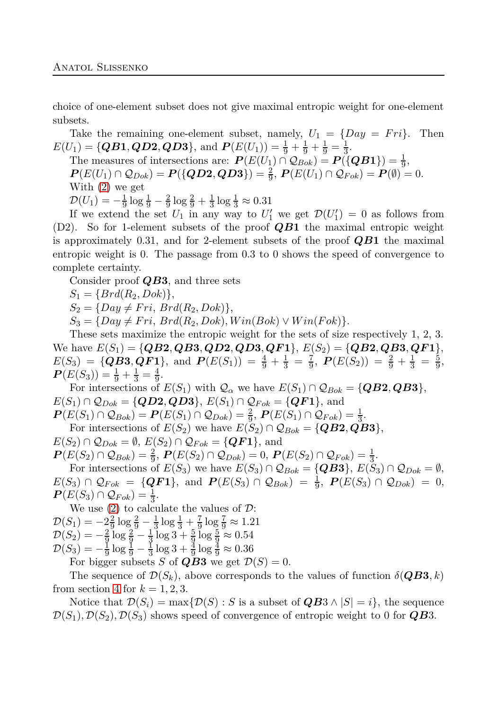choice of one-element subset does not give maximal entropic weight for one-element subsets.

Take the remaining one-element subset, namely,  $U_1 = \{Day = Fri\}$ . Then  $E(U_1) = \{QB1, QD2, QD3\}$ , and  $P(E(U_1)) = \frac{1}{9} + \frac{1}{9} + \frac{1}{9} = \frac{1}{3}$  $\frac{1}{3}$ .

The measures of intersections are: 
$$
P(E(U_1) \cap Q_{Bok}) = P({QB1}) = \frac{1}{9}
$$
,

*P*(*E*(*U*<sub>1</sub>) ∩  $Q_{Dok}$ ) = *P*({ $QD2, QD3$ }) =  $\frac{2}{9}$ , *P*(*E*(*U*<sub>1</sub>) ∩  $Q_{Fok}$ ) = *P*( $\emptyset$ ) = 0.

With [\(2\)](#page-4-1) we get

 $\mathcal{D}(U_1) = -\frac{1}{9}$  $rac{1}{9}$  log  $rac{1}{9} - \frac{2}{9}$  $\frac{2}{9} \log \frac{2}{9} + \frac{1}{3}$  $\frac{1}{3}$  log  $\frac{1}{3} \approx 0.31$ 

If we extend the set  $U_1$  in any way to  $U'_1$  we get  $\mathcal{D}(U'_1) = 0$  as follows from (D2). So for 1-element subsets of the proof *QB***1** the maximal entropic weight is approximately 0*.*31, and for 2-element subsets of the proof *QB***1** the maximal entropic weight is 0. The passage from 0*.*3 to 0 shows the speed of convergence to complete certainty.

Consider proof *QB***3**, and three sets

 $S_1 = \{Brd(R_2, Dok)\},\$ 

 $S_2 = \{Day \neq Fri, Brd(R_2, Dok)\},\$ 

 $S_3 = \{Day \neq Fri, Brd(R_2, Dok), Win(Bok) \vee Win(Fok)\}.$ 

These sets maximize the entropic weight for the sets of size respectively 1, 2, 3. We have  $E(S_1) = \{QB2, QB3, QD2, QD3, QF1\}, E(S_2) = \{QB2, QB3, QF1\},$  $E(S_3) = \{QB3, QF1\}, \text{ and } P(E(S_1)) = \frac{4}{9} + \frac{1}{3} = \frac{7}{9}$  $\frac{7}{9}$ ,  $P(E(S_2)) = \frac{2}{9} + \frac{1}{3} = \frac{5}{9}$  $\frac{5}{9}$ ,  $P(E(S_3)) = \frac{1}{9} + \frac{1}{3} = \frac{4}{9}$  $\frac{4}{9}$ .

For intersections of  $E(S_1)$  with  $\mathcal{Q}_{\alpha}$  we have  $E(S_1) \cap \mathcal{Q}_{Bok} = \{QB2, QB3\},$  $E(S_1) \cap Q_{Dok} = \{QD2, QD3\}, E(S_1) \cap Q_{Fok} = \{QF1\}, \text{and}$  $P(E(S_1) \cap Q_{Bok}) = P(E(S_1) \cap Q_{Dok}) = \frac{2}{9}, P(E(S_1) \cap Q_{Fok}) = \frac{1}{3}.$ 

For intersections of  $E(S_2)$  we have  $E(S_2) \cap Q_{Bok} = \{QB2, QB3\},\$ 

 $E(S_2) \cap \mathcal{Q}_{Dok} = \emptyset$ ,  $E(S_2) \cap \mathcal{Q}_{Fok} = \{QF1\}$ , and

 $P(E(S_2) \cap Q_{Bok}) = \frac{2}{9}, P(E(S_2) \cap Q_{Dok}) = 0, P(E(S_2) \cap Q_{Fok}) = \frac{1}{3}.$ 

For intersections of  $E(S_3)$  we have  $E(S_3) \cap \mathcal{Q}_{Bok} = \{QB3\}, E(S_3) \cap \mathcal{Q}_{Dok} = \emptyset$ ,  $E(S_3) \cap \mathcal{Q}_{Fok} = \{QF1\}, \text{ and } P(E(S_3) \cap \mathcal{Q}_{Bok}) = \frac{1}{9}, P(E(S_3) \cap \mathcal{Q}_{Dok}) = 0,$  $P(E(S_3) \cap Q_{Fok}) = \frac{1}{3}.$ 

We use [\(2\)](#page-4-1) to calculate the values of  $\mathcal{D}$ :  $\mathcal{D}(S_1) = -2\frac{2}{9}$  $rac{2}{9} \log \frac{2}{9} - \frac{1}{3}$  $rac{1}{3}$  log  $rac{1}{3} + \frac{7}{9}$  $\frac{7}{9}$   $\log \frac{7}{9} \approx 1.21$  $\mathcal{D}(S_2) = -\frac{2}{9} \log \frac{2}{9} - \frac{1}{3} \log 3 + \frac{5}{9} \log \frac{5}{9} \approx 0.54$  $\mathcal{D}(S_3) = -\frac{1}{9}$  $rac{1}{9}$  log  $rac{1}{9} - \frac{1}{3}$  $\frac{1}{3}\log 3 + \frac{3}{9}\log \frac{3}{9} \approx 0.36$ For bigger subsets *S* of *QB***3** we get  $\mathcal{D}(S) = 0$ .

The sequence of  $\mathcal{D}(S_k)$ , above corresponds to the values of function  $\delta(QB3, k)$ 

from section [4](#page-6-0) for  $k = 1, 2, 3$ . Notice that  $\mathcal{D}(S_i) = \max\{\mathcal{D}(S) : S \text{ is a subset of } \mathbf{Q}\mathbf{B}3 \wedge |S| = i\},\$  the sequence  $\mathcal{D}(S_1), \mathcal{D}(S_2), \mathcal{D}(S_3)$  shows speed of convergence of entropic weight to 0 for **QB3**.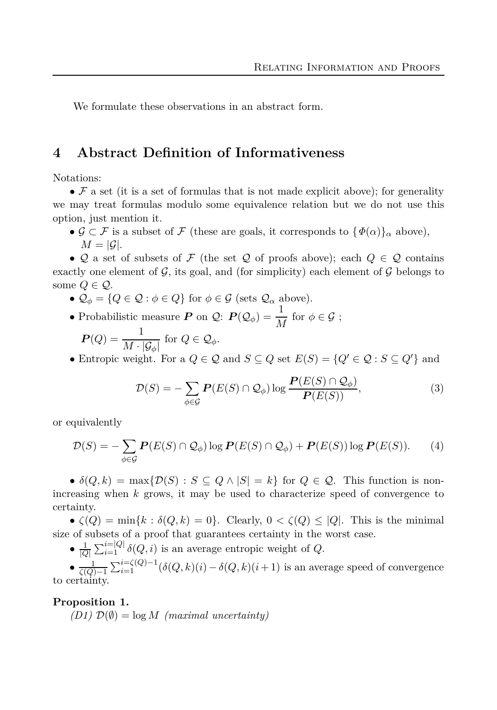We formulate these observations in an abstract form.

## <span id="page-6-0"></span>**4 Abstract Definition of Informativeness**

Notations:

•  $\mathcal F$  a set (it is a set of formulas that is not made explicit above); for generality we may treat formulas modulo some equivalence relation but we do not use this option, just mention it.

•  $\mathcal{G} \subset \mathcal{F}$  is a subset of  $\mathcal{F}$  (these are goals, it corresponds to  $\{\Phi(\alpha)\}_\alpha$  above),  $M = |\mathcal{G}|$ .

• Q a set of subsets of F (the set Q of proofs above); each  $Q \in \mathcal{Q}$  contains exactly one element of  $\mathcal G$ , its goal, and (for simplicity) each element of  $\mathcal G$  belongs to some  $Q \in \mathcal{Q}$ .

- $\mathcal{Q}_{\phi} = \{Q \in \mathcal{Q} : \phi \in Q\}$  for  $\phi \in \mathcal{G}$  (sets  $\mathcal{Q}_{\alpha}$  above).
- Probabilistic measure *P* on *Q*:  $P(Q_{\phi}) = \frac{1}{M}$  for  $\phi \in \mathcal{G}$ ;

$$
\boldsymbol{P}(Q) = \frac{1}{M \cdot |\mathcal{G}_{\phi}|} \text{ for } Q \in \mathcal{Q}_{\phi}.
$$

• Entropic weight. For a  $Q \in \mathcal{Q}$  and  $S \subseteq Q$  set  $E(S) = \{Q' \in \mathcal{Q} : S \subseteq Q'\}$  and

<span id="page-6-2"></span>
$$
\mathcal{D}(S) = -\sum_{\phi \in \mathcal{G}} \mathbf{P}(E(S) \cap \mathcal{Q}_{\phi}) \log \frac{\mathbf{P}(E(S) \cap \mathcal{Q}_{\phi})}{\mathbf{P}(E(S))},\tag{3}
$$

or equivalently

$$
\mathcal{D}(S) = -\sum_{\phi \in \mathcal{G}} \mathbf{P}(E(S) \cap \mathcal{Q}_{\phi}) \log \mathbf{P}(E(S) \cap \mathcal{Q}_{\phi}) + \mathbf{P}(E(S)) \log \mathbf{P}(E(S)). \tag{4}
$$

•  $\delta(Q, k) = \max\{D(S) : S \subseteq Q \wedge |S| = k\}$  for  $Q \in \mathcal{Q}$ . This function is nonincreasing when *k* grows, it may be used to characterize speed of convergence to certainty.

•  $\zeta(Q) = \min\{k : \delta(Q, k) = 0\}.$  Clearly,  $0 < \zeta(Q) \leq |Q|$ . This is the minimal size of subsets of a proof that guarantees certainty in the worst case.

•  $\frac{1}{|Q|} \sum_{i=1}^{i=|Q|} \delta(Q, i)$  is an average entropic weight of *Q*.

 $\bullet$   $\frac{1}{\zeta(Q)-1} \sum_{i=1}^{i=\zeta(Q)-1} (\delta(Q,k)(i) - \delta(Q,k)(i+1)$  is an average speed of convergence to certainty.

#### <span id="page-6-1"></span>**Proposition 1.**

 $(D1)$   $\mathcal{D}(\emptyset) = \log M$  *(maximal uncertainty)*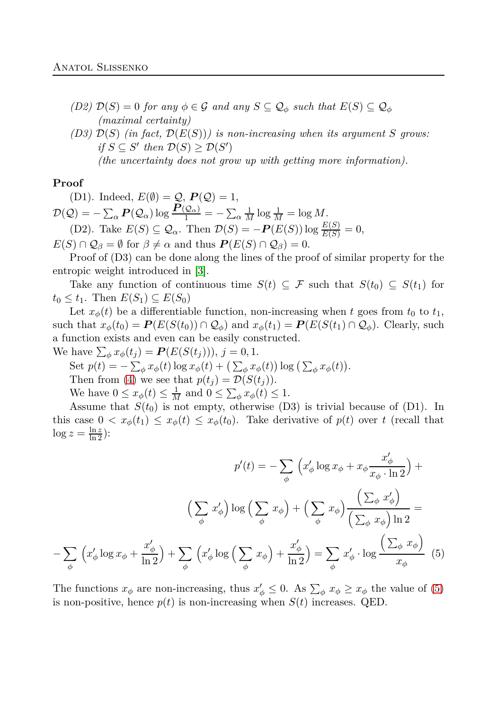- *(D2)*  $\mathcal{D}(S) = 0$  *for any*  $\phi \in \mathcal{G}$  *and any*  $S \subseteq \mathcal{Q}_\phi$  *such that*  $E(S) \subseteq \mathcal{Q}_\phi$ *(maximal certainty)*
- *(D3)*  $\mathcal{D}(S)$  *(in fact,*  $\mathcal{D}(E(S))$ *) is non-increasing when its argument S grows: if*  $S \subseteq S'$  *then*  $\mathcal{D}(S) \ge \mathcal{D}(S')$ *(the uncertainty does not grow up with getting more information).*

#### **Proof**

(D1). Indeed,  $E(\emptyset) = Q$ ,  $P(Q) = 1$ ,  $\mathcal{D}(\mathcal{Q}) = -\sum_{\alpha} \boldsymbol{P}(\mathcal{Q}_{\alpha}) \log \frac{\boldsymbol{P}(\mathcal{Q}_{\alpha})}{1} = -\sum_{\alpha} \frac{1}{M} \log \frac{1}{M} = \log M.$ (D2). Take  $E(S) \subseteq \mathcal{Q}_\alpha$ . Then  $\mathcal{D}(S) = -P(E(S)) \log \frac{E(S)}{E(S)} = 0$ ,

 $E(S) \cap \mathcal{Q}_{\beta} = \emptyset$  for  $\beta \neq \alpha$  and thus  $P(E(S) \cap \mathcal{Q}_{\beta}) = 0$ .

Proof of  $(D3)$  can be done along the lines of the proof of similar property for the entropic weight introduced in [\[3\]](#page-8-2).

Take any function of continuous time  $S(t) \subseteq \mathcal{F}$  such that  $S(t_0) \subseteq S(t_1)$  for  $t_0 \leq t_1$ . Then  $E(S_1) \subseteq E(S_0)$ 

Let  $x_{\phi}(t)$  be a differentiable function, non-increasing when *t* goes from  $t_0$  to  $t_1$ , such that  $x_{\phi}(t_0) = P(E(S(t_0)) \cap \mathcal{Q}_{\phi})$  and  $x_{\phi}(t_1) = P(E(S(t_1) \cap \mathcal{Q}_{\phi})$ . Clearly, such a function exists and even can be easily constructed.

We have  $\sum_{\phi} x_{\phi}(t_j) = P(E(S(t_j))), j = 0, 1.$ 

Set  $p(t) = -\sum_{\phi} x_{\phi}(t) \log x_{\phi}(t) + (\sum_{\phi} x_{\phi}(t)) \log (\sum_{\phi} x_{\phi}(t)).$ Then from [\(4\)](#page-6-2) we see that  $p(t_i) = \mathcal{D}(S(t_i))$ .

<span id="page-7-0"></span>We have  $0 \le x_{\phi}(t) \le \frac{1}{M}$  and  $0 \le \sum_{\phi} x_{\phi}(t) \le 1$ .

Assume that  $S(t_0)$  is not empty, otherwise (D3) is trivial because of (D1). In this case  $0 < x_{\phi}(t_1) \leq x_{\phi}(t) \leq x_{\phi}(t_0)$ . Take derivative of  $p(t)$  over *t* (recall that  $\log z = \frac{\ln z}{\ln 2}$ :

$$
p'(t) = -\sum_{\phi} \left( x_{\phi}' \log x_{\phi} + x_{\phi} \frac{x_{\phi}'}{x_{\phi} \cdot \ln 2} \right) +
$$

$$
\left( \sum_{\phi} x_{\phi}' \right) \log \left( \sum_{\phi} x_{\phi} \right) + \left( \sum_{\phi} x_{\phi} \right) \frac{\left( \sum_{\phi} x_{\phi}' \right)}{\left( \sum_{\phi} x_{\phi} \right) \ln 2} =
$$

$$
-\sum_{\phi} \left( x_{\phi}' \log x_{\phi} + \frac{x_{\phi}'}{\ln 2} \right) + \sum_{\phi} \left( x_{\phi}' \log \left( \sum_{\phi} x_{\phi} \right) + \frac{x_{\phi}'}{\ln 2} \right) = \sum_{\phi} x_{\phi}' \cdot \log \frac{\left( \sum_{\phi} x_{\phi} \right)}{x_{\phi}} \tag{5}
$$

The functions  $x_{\phi}$  are non-increasing, thus  $x'_{\phi} \leq 0$ . As  $\sum_{\phi} x_{\phi} \geq x_{\phi}$  the value of [\(5\)](#page-7-0) is non-positive, hence  $p(t)$  is non-increasing when  $S(t)$  increases. QED.